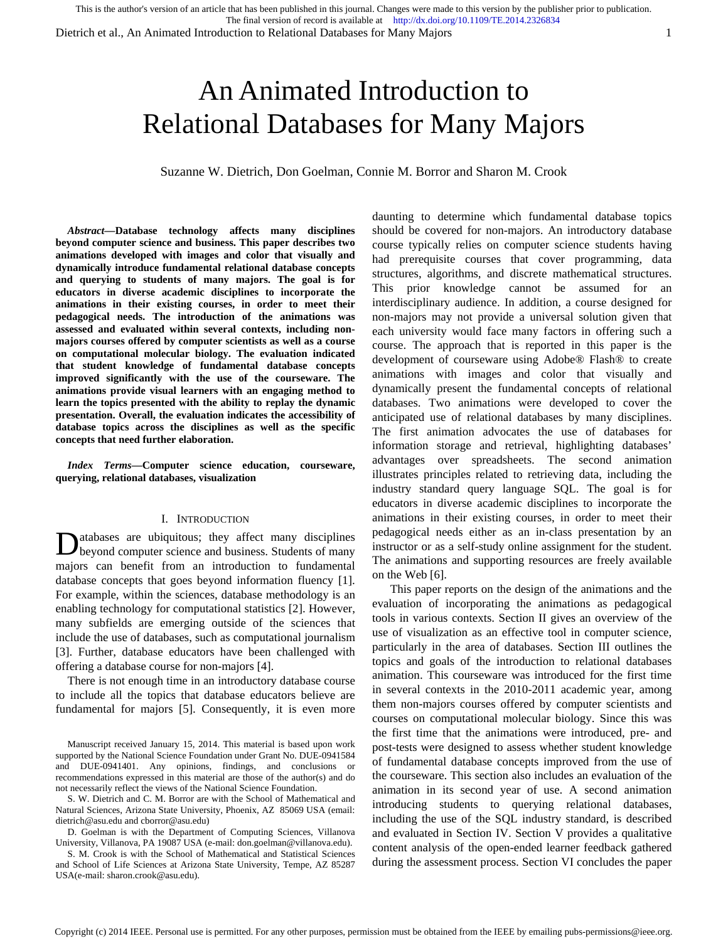Dietrich et al., An Animated Introduction to Relational Databases for Many Majors 1

# An Animated Introduction to Relational Databases for Many Majors

Suzanne W. Dietrich, Don Goelman, Connie M. Borror and Sharon M. Crook

*Abstract***—Database technology affects many disciplines beyond computer science and business. This paper describes two animations developed with images and color that visually and dynamically introduce fundamental relational database concepts and querying to students of many majors. The goal is for educators in diverse academic disciplines to incorporate the animations in their existing courses, in order to meet their pedagogical needs. The introduction of the animations was assessed and evaluated within several contexts, including nonmajors courses offered by computer scientists as well as a course on computational molecular biology. The evaluation indicated that student knowledge of fundamental database concepts improved significantly with the use of the courseware. The animations provide visual learners with an engaging method to learn the topics presented with the ability to replay the dynamic presentation. Overall, the evaluation indicates the accessibility of database topics across the disciplines as well as the specific concepts that need further elaboration.** 

*Index Terms***—Computer science education, courseware, querying, relational databases, visualization** 

# I. INTRODUCTION

atabases are ubiquitous; they affect many disciplines Databases are ubiquitous; they affect many disciplines beyond computer science and business. Students of many majors can benefit from an introduction to fundamental database concepts that goes beyond information fluency [1]. For example, within the sciences, database methodology is an enabling technology for computational statistics [2]. However, many subfields are emerging outside of the sciences that include the use of databases, such as computational journalism [3]. Further, database educators have been challenged with offering a database course for non-majors [4].

There is not enough time in an introductory database course to include all the topics that database educators believe are fundamental for majors [5]. Consequently, it is even more

Manuscript received January 15, 2014. This material is based upon work supported by the National Science Foundation under Grant No. DUE-0941584 and DUE-0941401. Any opinions, findings, and conclusions or recommendations expressed in this material are those of the author(s) and do not necessarily reflect the views of the National Science Foundation.

S. W. Dietrich and C. M. Borror are with the School of Mathematical and Natural Sciences, Arizona State University, Phoenix, AZ 85069 USA (email: dietrich@asu.edu and cborror@asu.edu)

D. Goelman is with the Department of Computing Sciences, Villanova University, Villanova, PA 19087 USA (e-mail: don.goelman@villanova.edu).

S. M. Crook is with the School of Mathematical and Statistical Sciences and School of Life Sciences at Arizona State University, Tempe, AZ 85287 USA(e-mail: sharon.crook@asu.edu).

daunting to determine which fundamental database topics should be covered for non-majors. An introductory database course typically relies on computer science students having had prerequisite courses that cover programming, data structures, algorithms, and discrete mathematical structures. This prior knowledge cannot be assumed for an interdisciplinary audience. In addition, a course designed for non-majors may not provide a universal solution given that each university would face many factors in offering such a course. The approach that is reported in this paper is the development of courseware using Adobe® Flash® to create animations with images and color that visually and dynamically present the fundamental concepts of relational databases. Two animations were developed to cover the anticipated use of relational databases by many disciplines. The first animation advocates the use of databases for information storage and retrieval, highlighting databases' advantages over spreadsheets. The second animation illustrates principles related to retrieving data, including the industry standard query language SQL. The goal is for educators in diverse academic disciplines to incorporate the animations in their existing courses, in order to meet their pedagogical needs either as an in-class presentation by an instructor or as a self-study online assignment for the student. The animations and supporting resources are freely available on the Web [6].

 This paper reports on the design of the animations and the evaluation of incorporating the animations as pedagogical tools in various contexts. Section II gives an overview of the use of visualization as an effective tool in computer science, particularly in the area of databases. Section III outlines the topics and goals of the introduction to relational databases animation. This courseware was introduced for the first time in several contexts in the 2010-2011 academic year, among them non-majors courses offered by computer scientists and courses on computational molecular biology. Since this was the first time that the animations were introduced, pre- and post-tests were designed to assess whether student knowledge of fundamental database concepts improved from the use of the courseware. This section also includes an evaluation of the animation in its second year of use. A second animation introducing students to querying relational databases, including the use of the SQL industry standard, is described and evaluated in Section IV. Section V provides a qualitative content analysis of the open-ended learner feedback gathered during the assessment process. Section VI concludes the paper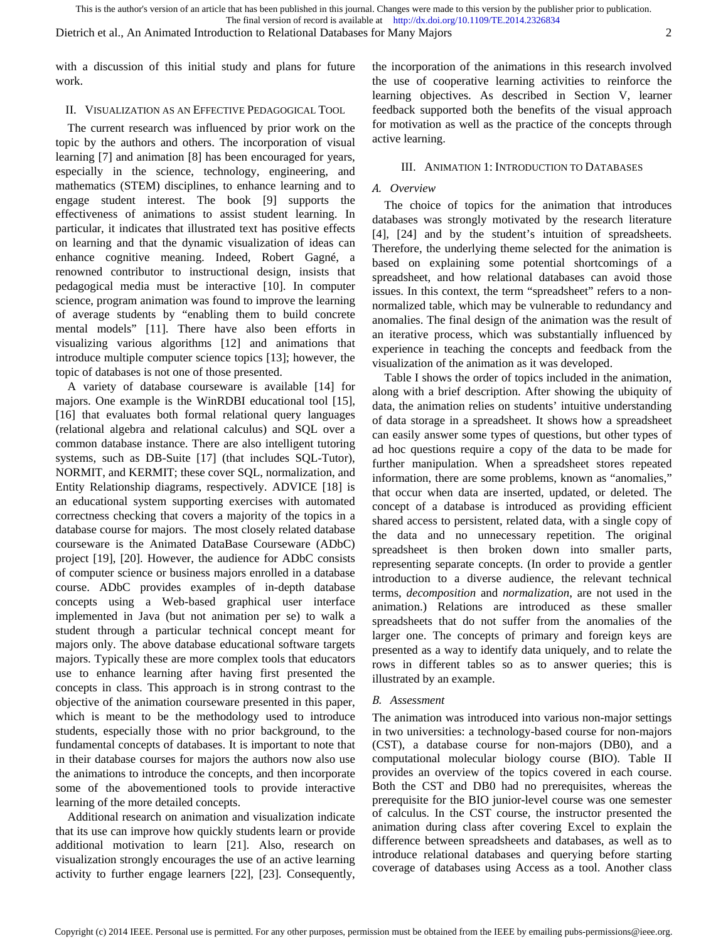The final version of record is available at http://dx.doi.org/10.1109/TE.2014.2326834

Dietrich et al., An Animated Introduction to Relational Databases for Many Majors 2

with a discussion of this initial study and plans for future work.

#### II. VISUALIZATION AS AN EFFECTIVE PEDAGOGICAL TOOL

The current research was influenced by prior work on the topic by the authors and others. The incorporation of visual learning [7] and animation [8] has been encouraged for years, especially in the science, technology, engineering, and mathematics (STEM) disciplines, to enhance learning and to engage student interest. The book [9] supports the effectiveness of animations to assist student learning. In particular, it indicates that illustrated text has positive effects on learning and that the dynamic visualization of ideas can enhance cognitive meaning. Indeed, Robert Gagné, a renowned contributor to instructional design, insists that pedagogical media must be interactive [10]. In computer science, program animation was found to improve the learning of average students by "enabling them to build concrete mental models" [11]. There have also been efforts in visualizing various algorithms [12] and animations that introduce multiple computer science topics [13]; however, the topic of databases is not one of those presented.

A variety of database courseware is available [14] for majors. One example is the WinRDBI educational tool [15], [16] that evaluates both formal relational query languages (relational algebra and relational calculus) and SQL over a common database instance. There are also intelligent tutoring systems, such as DB-Suite [17] (that includes SQL-Tutor), NORMIT, and KERMIT; these cover SQL, normalization, and Entity Relationship diagrams, respectively. ADVICE [18] is an educational system supporting exercises with automated correctness checking that covers a majority of the topics in a database course for majors. The most closely related database courseware is the Animated DataBase Courseware (ADbC) project [19], [20]. However, the audience for ADbC consists of computer science or business majors enrolled in a database course. ADbC provides examples of in-depth database concepts using a Web-based graphical user interface implemented in Java (but not animation per se) to walk a student through a particular technical concept meant for majors only. The above database educational software targets majors. Typically these are more complex tools that educators use to enhance learning after having first presented the concepts in class. This approach is in strong contrast to the objective of the animation courseware presented in this paper, which is meant to be the methodology used to introduce students, especially those with no prior background, to the fundamental concepts of databases. It is important to note that in their database courses for majors the authors now also use the animations to introduce the concepts, and then incorporate some of the abovementioned tools to provide interactive learning of the more detailed concepts.

Additional research on animation and visualization indicate that its use can improve how quickly students learn or provide additional motivation to learn [21]. Also, research on visualization strongly encourages the use of an active learning activity to further engage learners [22], [23]. Consequently, the incorporation of the animations in this research involved the use of cooperative learning activities to reinforce the learning objectives. As described in Section V, learner feedback supported both the benefits of the visual approach for motivation as well as the practice of the concepts through active learning.

#### III. ANIMATION 1: INTRODUCTION TO DATABASES

# *A. Overview*

The choice of topics for the animation that introduces databases was strongly motivated by the research literature [4], [24] and by the student's intuition of spreadsheets. Therefore, the underlying theme selected for the animation is based on explaining some potential shortcomings of a spreadsheet, and how relational databases can avoid those issues. In this context, the term "spreadsheet" refers to a nonnormalized table, which may be vulnerable to redundancy and anomalies. The final design of the animation was the result of an iterative process, which was substantially influenced by experience in teaching the concepts and feedback from the visualization of the animation as it was developed.

Table I shows the order of topics included in the animation, along with a brief description. After showing the ubiquity of data, the animation relies on students' intuitive understanding of data storage in a spreadsheet. It shows how a spreadsheet can easily answer some types of questions, but other types of ad hoc questions require a copy of the data to be made for further manipulation. When a spreadsheet stores repeated information, there are some problems, known as "anomalies," that occur when data are inserted, updated, or deleted. The concept of a database is introduced as providing efficient shared access to persistent, related data, with a single copy of the data and no unnecessary repetition. The original spreadsheet is then broken down into smaller parts, representing separate concepts. (In order to provide a gentler introduction to a diverse audience, the relevant technical terms, *decomposition* and *normalization*, are not used in the animation.) Relations are introduced as these smaller spreadsheets that do not suffer from the anomalies of the larger one. The concepts of primary and foreign keys are presented as a way to identify data uniquely, and to relate the rows in different tables so as to answer queries; this is illustrated by an example.

### *B. Assessment*

The animation was introduced into various non-major settings in two universities: a technology-based course for non-majors (CST), a database course for non-majors (DB0), and a computational molecular biology course (BIO). Table II provides an overview of the topics covered in each course. Both the CST and DB0 had no prerequisites, whereas the prerequisite for the BIO junior-level course was one semester of calculus. In the CST course, the instructor presented the animation during class after covering Excel to explain the difference between spreadsheets and databases, as well as to introduce relational databases and querying before starting coverage of databases using Access as a tool. Another class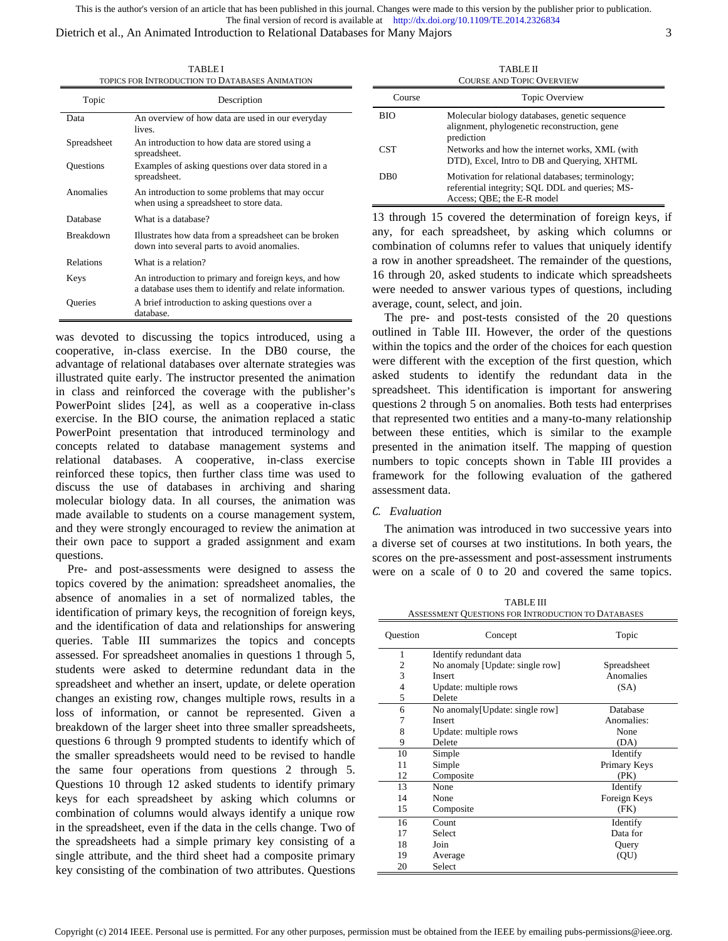Dietrich et al., An Animated Introduction to Relational Databases for Many Majors 3

| TOPICS FOR INTRODUCTION TO DATABASES ANIMATION |                                                                                                                  |  |  |
|------------------------------------------------|------------------------------------------------------------------------------------------------------------------|--|--|
| Topic                                          | Description                                                                                                      |  |  |
| Data                                           | An overview of how data are used in our everyday<br>lives.                                                       |  |  |
| Spreadsheet                                    | An introduction to how data are stored using a<br>spreadsheet.                                                   |  |  |
| <b>Ouestions</b>                               | Examples of asking questions over data stored in a<br>spreadsheet.                                               |  |  |
| Anomalies                                      | An introduction to some problems that may occur<br>when using a spreadsheet to store data.                       |  |  |
| Database                                       | What is a database?                                                                                              |  |  |
| <b>Breakdown</b>                               | Illustrates how data from a spreadsheet can be broken<br>down into several parts to avoid anomalies.             |  |  |
| <b>Relations</b>                               | What is a relation?                                                                                              |  |  |
| Keys                                           | An introduction to primary and foreign keys, and how<br>a database uses them to identify and relate information. |  |  |
| <b>Oueries</b>                                 | A brief introduction to asking questions over a<br>database.                                                     |  |  |

TABLE I

was devoted to discussing the topics introduced, using a cooperative, in-class exercise. In the DB0 course, the advantage of relational databases over alternate strategies was illustrated quite early. The instructor presented the animation in class and reinforced the coverage with the publisher's PowerPoint slides [24], as well as a cooperative in-class exercise. In the BIO course, the animation replaced a static PowerPoint presentation that introduced terminology and concepts related to database management systems and relational databases. A cooperative, in-class exercise reinforced these topics, then further class time was used to discuss the use of databases in archiving and sharing molecular biology data. In all courses, the animation was made available to students on a course management system, and they were strongly encouraged to review the animation at their own pace to support a graded assignment and exam questions.

Pre- and post-assessments were designed to assess the topics covered by the animation: spreadsheet anomalies, the absence of anomalies in a set of normalized tables, the identification of primary keys, the recognition of foreign keys, and the identification of data and relationships for answering queries. Table III summarizes the topics and concepts assessed. For spreadsheet anomalies in questions 1 through 5, students were asked to determine redundant data in the spreadsheet and whether an insert, update, or delete operation changes an existing row, changes multiple rows, results in a loss of information, or cannot be represented. Given a breakdown of the larger sheet into three smaller spreadsheets, questions 6 through 9 prompted students to identify which of the smaller spreadsheets would need to be revised to handle the same four operations from questions 2 through 5. Questions 10 through 12 asked students to identify primary keys for each spreadsheet by asking which columns or combination of columns would always identify a unique row in the spreadsheet, even if the data in the cells change. Two of the spreadsheets had a simple primary key consisting of a single attribute, and the third sheet had a composite primary key consisting of the combination of two attributes. Questions

TABLE II COURSE AND TOPIC OVERVIEW Course Topic Overview BIO Molecular biology databases, genetic sequence alignment, phylogenetic reconstruction, gene prediction CST Networks and how the internet works, XML (with DTD), Excel, Intro to DB and Querying, XHTML DB0 Motivation for relational databases; terminology; referential integrity; SQL DDL and queries; MS-Access; QBE; the E-R model

13 through 15 covered the determination of foreign keys, if any, for each spreadsheet, by asking which columns or combination of columns refer to values that uniquely identify a row in another spreadsheet. The remainder of the questions, 16 through 20, asked students to indicate which spreadsheets were needed to answer various types of questions, including average, count, select, and join.

The pre- and post-tests consisted of the 20 questions outlined in Table III. However, the order of the questions within the topics and the order of the choices for each question were different with the exception of the first question, which asked students to identify the redundant data in the spreadsheet. This identification is important for answering questions 2 through 5 on anomalies. Both tests had enterprises that represented two entities and a many-to-many relationship between these entities, which is similar to the example presented in the animation itself. The mapping of question numbers to topic concepts shown in Table III provides a framework for the following evaluation of the gathered assessment data.

# *C. Evaluation*

The animation was introduced in two successive years into a diverse set of courses at two institutions. In both years, the scores on the pre-assessment and post-assessment instruments were on a scale of 0 to 20 and covered the same topics.

|                | TABLE III<br>ASSESSMENT QUESTIONS FOR INTRODUCTION TO DATABASES |              |  |  |
|----------------|-----------------------------------------------------------------|--------------|--|--|
| Question       | Topic<br>Concept                                                |              |  |  |
| 1              | Identify redundant data                                         |              |  |  |
| $\overline{c}$ | No anomaly [Update: single row]                                 | Spreadsheet  |  |  |
| $\overline{3}$ | Insert                                                          | Anomalies    |  |  |
| 4              | Update: multiple rows                                           | (SA)         |  |  |
| 5              | Delete                                                          |              |  |  |
| 6              | No anomaly [Update: single row]                                 | Database     |  |  |
| 7              | Insert                                                          | Anomalies:   |  |  |
| 8              | Update: multiple rows                                           | None         |  |  |
| 9              | Delete                                                          | (DA)         |  |  |
| 10             | Simple                                                          | Identify     |  |  |
| 11             | Simple                                                          | Primary Keys |  |  |
| 12             | Composite                                                       | (PK)         |  |  |
| 13             | None                                                            | Identify     |  |  |
| 14             | None                                                            | Foreign Keys |  |  |
| 15             | Composite                                                       | (FK)         |  |  |
| 16             | Count                                                           | Identify     |  |  |
| 17             | Select                                                          | Data for     |  |  |
| 18             | Join                                                            | Query        |  |  |
| 19             | $\left( QU\right)$<br>Average                                   |              |  |  |
| 20             | Select                                                          |              |  |  |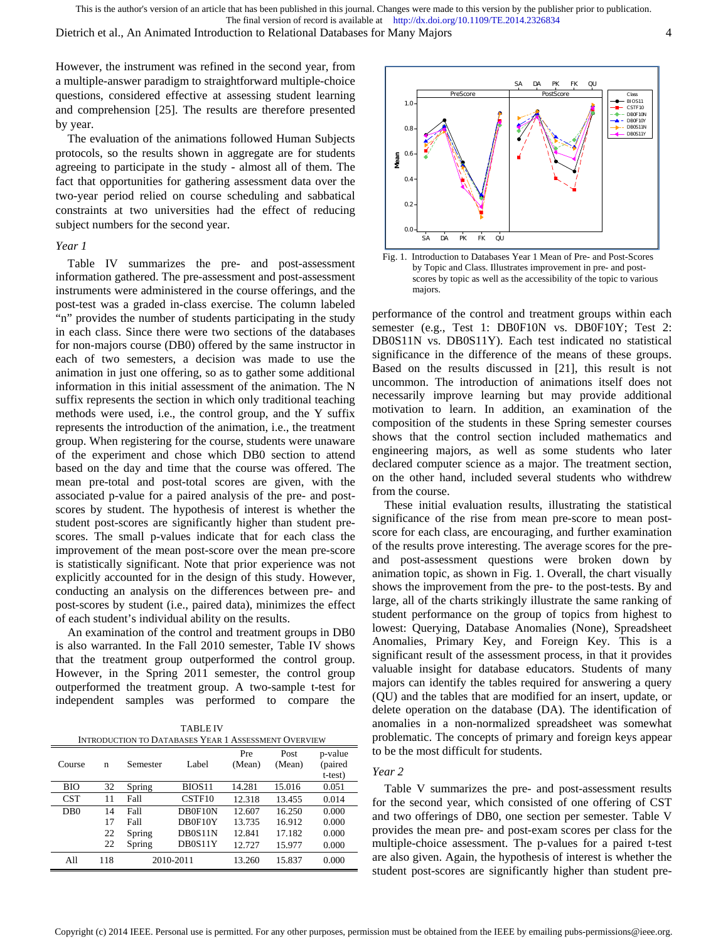Dietrich et al., An Animated Introduction to Relational Databases for Many Majors 4

However, the instrument was refined in the second year, from a multiple-answer paradigm to straightforward multiple-choice questions, considered effective at assessing student learning and comprehension [25]. The results are therefore presented by year.

The evaluation of the animations followed Human Subjects protocols, so the results shown in aggregate are for students agreeing to participate in the study - almost all of them. The fact that opportunities for gathering assessment data over the two-year period relied on course scheduling and sabbatical constraints at two universities had the effect of reducing subject numbers for the second year.

### *Year 1*

 Table IV summarizes the pre- and post-assessment information gathered. The pre-assessment and post-assessment instruments were administered in the course offerings, and the post-test was a graded in-class exercise. The column labeled "n" provides the number of students participating in the study in each class. Since there were two sections of the databases for non-majors course (DB0) offered by the same instructor in each of two semesters, a decision was made to use the animation in just one offering, so as to gather some additional information in this initial assessment of the animation. The N suffix represents the section in which only traditional teaching methods were used, i.e., the control group, and the Y suffix represents the introduction of the animation, i.e., the treatment group. When registering for the course, students were unaware of the experiment and chose which DB0 section to attend based on the day and time that the course was offered. The mean pre-total and post-total scores are given, with the associated p-value for a paired analysis of the pre- and postscores by student. The hypothesis of interest is whether the student post-scores are significantly higher than student prescores. The small p-values indicate that for each class the improvement of the mean post-score over the mean pre-score is statistically significant. Note that prior experience was not explicitly accounted for in the design of this study. However, conducting an analysis on the differences between pre- and post-scores by student (i.e., paired data), minimizes the effect of each student's individual ability on the results.

 An examination of the control and treatment groups in DB0 is also warranted. In the Fall 2010 semester, Table IV shows that the treatment group outperformed the control group. However, in the Spring 2011 semester, the control group outperformed the treatment group. A two-sample t-test for independent samples was performed to compare the

TABLE IV INTRODUCTION TO DATABASES YEAR 1 ASSESSMENT OVERVIEW

| Course           | n   | Semester  | Label              | Pre<br>(Mean) | Post<br>(Mean) | p-value<br>(paired<br>t-test) |
|------------------|-----|-----------|--------------------|---------------|----------------|-------------------------------|
| <b>BIO</b>       | 32  | Spring    | BIOS <sub>11</sub> | 14.281        | 15.016         | 0.051                         |
| <b>CST</b>       | 11  | Fall      | CSTF <sub>10</sub> | 12.318        | 13.455         | 0.014                         |
| D <sub>B</sub> 0 | 14  | Fall      | DB0F10N            | 12.607        | 16.250         | 0.000                         |
|                  | 17  | Fall      | DB0F10Y            | 13.735        | 16.912         | 0.000                         |
|                  | 22  | Spring    | DB0S11N            | 12.841        | 17.182         | 0.000                         |
|                  | 22  | Spring    | DB0S11Y            | 12.727        | 15.977         | 0.000                         |
| A11              | 118 | 2010-2011 |                    | 13.260        | 15.837         | 0.000                         |





performance of the control and treatment groups within each semester (e.g., Test 1: DB0F10N vs. DB0F10Y; Test 2: DB0S11N vs. DB0S11Y). Each test indicated no statistical significance in the difference of the means of these groups. Based on the results discussed in [21], this result is not uncommon. The introduction of animations itself does not necessarily improve learning but may provide additional motivation to learn. In addition, an examination of the composition of the students in these Spring semester courses shows that the control section included mathematics and engineering majors, as well as some students who later declared computer science as a major. The treatment section, on the other hand, included several students who withdrew from the course.

 These initial evaluation results, illustrating the statistical significance of the rise from mean pre-score to mean postscore for each class, are encouraging, and further examination of the results prove interesting. The average scores for the preand post-assessment questions were broken down by animation topic, as shown in Fig. 1. Overall, the chart visually shows the improvement from the pre- to the post-tests. By and large, all of the charts strikingly illustrate the same ranking of student performance on the group of topics from highest to lowest: Querying, Database Anomalies (None), Spreadsheet Anomalies, Primary Key, and Foreign Key. This is a significant result of the assessment process, in that it provides valuable insight for database educators. Students of many majors can identify the tables required for answering a query (QU) and the tables that are modified for an insert, update, or delete operation on the database (DA). The identification of anomalies in a non-normalized spreadsheet was somewhat problematic. The concepts of primary and foreign keys appear to be the most difficult for students.

### *Year 2*

Copyright (c) 2014 IEEE. Personal use is permitted. For any other purposes, permission must be obtained from the IEEE by emailing pubs-permissions@ieee.org.

Table V summarizes the pre- and post-assessment results for the second year, which consisted of one offering of CST and two offerings of DB0, one section per semester. Table V provides the mean pre- and post-exam scores per class for the multiple-choice assessment. The p-values for a paired t-test are also given. Again, the hypothesis of interest is whether the student post-scores are significantly higher than student pre-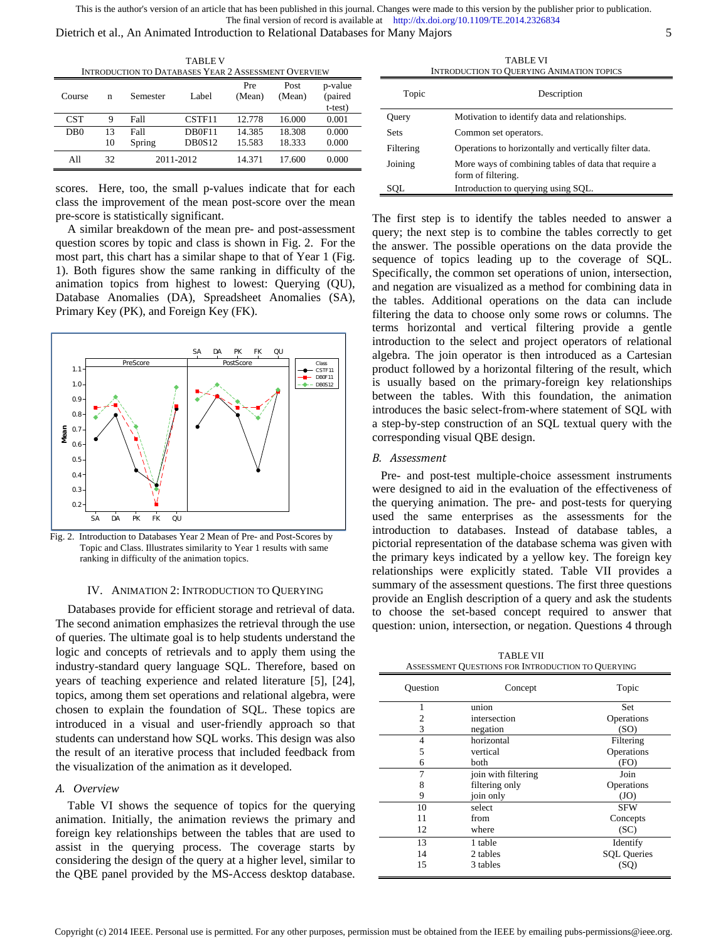Dietrich et al., An Animated Introduction to Relational Databases for Many Majors 5

| <b>TABLE V</b>   |                                                      |                |                         |                  |                  |                               |
|------------------|------------------------------------------------------|----------------|-------------------------|------------------|------------------|-------------------------------|
|                  | INTRODUCTION TO DATABASES YEAR 2 ASSESSMENT OVERVIEW |                |                         |                  |                  |                               |
| Course           | n                                                    | Semester       | Label                   | Pre<br>(Mean)    | Post<br>(Mean)   | p-value<br>(paired<br>t-test) |
| <b>CST</b>       | 9                                                    | Fall           | CSTF11                  | 12.778           | 16.000           | 0.001                         |
| D <sub>B</sub> 0 | 13<br>10                                             | Fall<br>Spring | <b>DB0F11</b><br>DB0S12 | 14.385<br>15.583 | 18.308<br>18.333 | 0.000<br>0.000                |
| All              | 32                                                   | 2011-2012      |                         | 14.371           | 17.600           | 0.000                         |

scores. Here, too, the small p-values indicate that for each class the improvement of the mean post-score over the mean pre-score is statistically significant.

A similar breakdown of the mean pre- and post-assessment question scores by topic and class is shown in Fig. 2. For the most part, this chart has a similar shape to that of Year 1 (Fig. 1). Both figures show the same ranking in difficulty of the animation topics from highest to lowest: Querying (QU), Database Anomalies (DA), Spreadsheet Anomalies (SA), Primary Key (PK), and Foreign Key (FK).



Fig. 2. Introduction to Databases Year 2 Mean of Pre- and Post-Scores by Topic and Class. Illustrates similarity to Year 1 results with same ranking in difficulty of the animation topics.

#### IV. ANIMATION 2: INTRODUCTION TO QUERYING

Databases provide for efficient storage and retrieval of data. The second animation emphasizes the retrieval through the use of queries. The ultimate goal is to help students understand the logic and concepts of retrievals and to apply them using the industry-standard query language SQL. Therefore, based on years of teaching experience and related literature [5], [24], topics, among them set operations and relational algebra, were chosen to explain the foundation of SQL. These topics are introduced in a visual and user-friendly approach so that students can understand how SQL works. This design was also the result of an iterative process that included feedback from the visualization of the animation as it developed.

#### *A. Overview*

Table VI shows the sequence of topics for the querying animation. Initially, the animation reviews the primary and foreign key relationships between the tables that are used to assist in the querying process. The coverage starts by considering the design of the query at a higher level, similar to the QBE panel provided by the MS-Access desktop database.

|             | <b>TABLE VI</b><br><b>INTRODUCTION TO QUERYING ANIMATION TOPICS</b>        |
|-------------|----------------------------------------------------------------------------|
|             |                                                                            |
| Topic       | Description                                                                |
| Query       | Motivation to identify data and relationships.                             |
| <b>Sets</b> | Common set operators.                                                      |
| Filtering   | Operations to horizontally and vertically filter data.                     |
| Joining     | More ways of combining tables of data that require a<br>form of filtering. |
| SOL         | Introduction to querying using SQL.                                        |

The first step is to identify the tables needed to answer a query; the next step is to combine the tables correctly to get the answer. The possible operations on the data provide the sequence of topics leading up to the coverage of SQL. Specifically, the common set operations of union, intersection, and negation are visualized as a method for combining data in the tables. Additional operations on the data can include filtering the data to choose only some rows or columns. The terms horizontal and vertical filtering provide a gentle introduction to the select and project operators of relational algebra. The join operator is then introduced as a Cartesian product followed by a horizontal filtering of the result, which is usually based on the primary-foreign key relationships between the tables. With this foundation, the animation introduces the basic select-from-where statement of SQL with a step-by-step construction of an SQL textual query with the corresponding visual QBE design.

# *B. Assessment*

Pre- and post-test multiple-choice assessment instruments were designed to aid in the evaluation of the effectiveness of the querying animation. The pre- and post-tests for querying used the same enterprises as the assessments for the introduction to databases. Instead of database tables, a pictorial representation of the database schema was given with the primary keys indicated by a yellow key. The foreign key relationships were explicitly stated. Table VII provides a summary of the assessment questions. The first three questions provide an English description of a query and ask the students to choose the set-based concept required to answer that question: union, intersection, or negation. Questions 4 through

| <b>TABLE VII</b><br>ASSESSMENT QUESTIONS FOR INTRODUCTION TO QUERYING |                                |            |  |  |
|-----------------------------------------------------------------------|--------------------------------|------------|--|--|
| Ouestion                                                              | Topic<br>Concept               |            |  |  |
| 1                                                                     | union                          | <b>Set</b> |  |  |
| 2                                                                     | intersection                   | Operations |  |  |
| 3                                                                     | negation                       | (SO)       |  |  |
| $\overline{4}$                                                        | horizontal                     | Filtering  |  |  |
| 5                                                                     | Operations<br>vertical         |            |  |  |
| 6                                                                     | (FO)<br>both                   |            |  |  |
| 7                                                                     | join with filtering<br>Join    |            |  |  |
| 8                                                                     | filtering only<br>Operations   |            |  |  |
| 9                                                                     | join only<br>(JO)              |            |  |  |
| 10                                                                    | select                         | <b>SFW</b> |  |  |
| 11                                                                    | from<br>Concepts               |            |  |  |
| 12                                                                    | (SC)<br>where                  |            |  |  |
| 13                                                                    | 1 table<br>Identify            |            |  |  |
| 14                                                                    | <b>SQL Queries</b><br>2 tables |            |  |  |
| 15                                                                    | 3 tables<br>(SQ)               |            |  |  |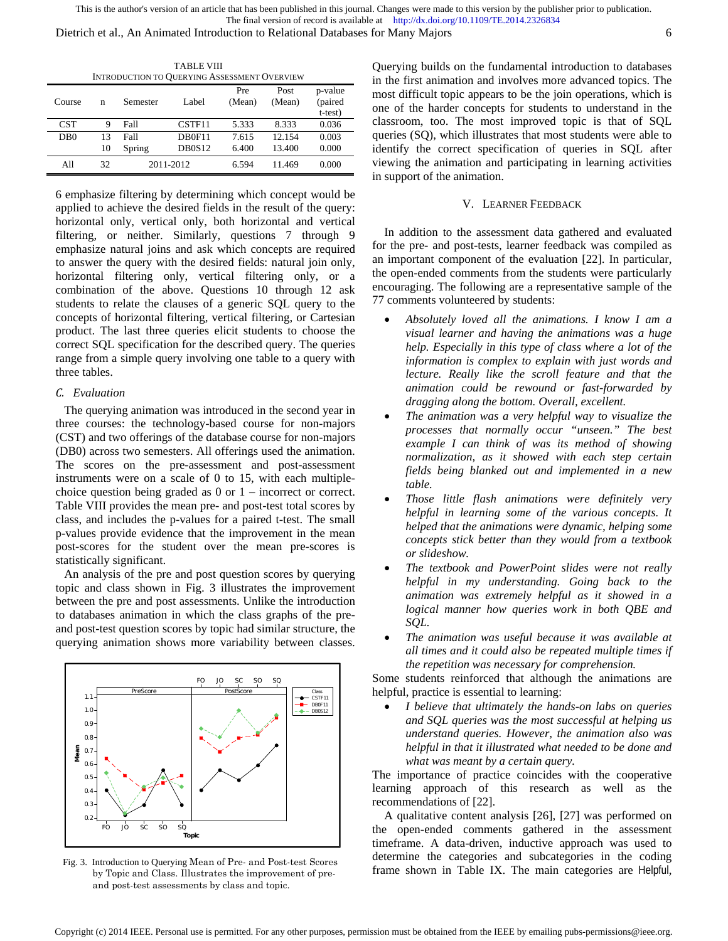The final version of record is available at http://dx.doi.org/10.1109/TE.2014.2326834

Dietrich et al., An Animated Introduction to Relational Databases for Many Majors 6

| <b>TABLE VIII</b><br><b>INTRODUCTION TO QUERYING ASSESSMENT OVERVIEW</b> |    |           |        |               |                |                               |
|--------------------------------------------------------------------------|----|-----------|--------|---------------|----------------|-------------------------------|
| Course                                                                   | n  | Semester  | Label  | Pre<br>(Mean) | Post<br>(Mean) | p-value<br>(paired<br>t-test) |
| <b>CST</b>                                                               | 9  | Fall      | CSTF11 | 5.333         | 8.333          | 0.036                         |
| D <sub>B</sub> 0                                                         | 13 | Fall      | DB0F11 | 7.615         | 12.154         | 0.003                         |
|                                                                          | 10 | Spring    | DB0S12 | 6.400         | 13.400         | 0.000                         |
| A11                                                                      | 32 | 2011-2012 |        | 6.594         | 11.469         | 0.000                         |

6 emphasize filtering by determining which concept would be applied to achieve the desired fields in the result of the query: horizontal only, vertical only, both horizontal and vertical filtering, or neither. Similarly, questions 7 through 9 emphasize natural joins and ask which concepts are required to answer the query with the desired fields: natural join only, horizontal filtering only, vertical filtering only, or a combination of the above. Questions 10 through 12 ask students to relate the clauses of a generic SQL query to the concepts of horizontal filtering, vertical filtering, or Cartesian product. The last three queries elicit students to choose the correct SQL specification for the described query. The queries range from a simple query involving one table to a query with three tables.

# *C. Evaluation*

The querying animation was introduced in the second year in three courses: the technology-based course for non-majors (CST) and two offerings of the database course for non-majors (DB0) across two semesters. All offerings used the animation. The scores on the pre-assessment and post-assessment instruments were on a scale of 0 to 15, with each multiplechoice question being graded as 0 or 1 – incorrect or correct. Table VIII provides the mean pre- and post-test total scores by class, and includes the p-values for a paired t-test. The small p-values provide evidence that the improvement in the mean post-scores for the student over the mean pre-scores is statistically significant.

An analysis of the pre and post question scores by querying topic and class shown in Fig. 3 illustrates the improvement between the pre and post assessments. Unlike the introduction to databases animation in which the class graphs of the preand post-test question scores by topic had similar structure, the querying animation shows more variability between classes.



Fig. 3. Introduction to Querying Mean of Pre- and Post-test Scores by Topic and Class. Illustrates the improvement of preand post-test assessments by class and topic.

Querying builds on the fundamental introduction to databases in the first animation and involves more advanced topics. The most difficult topic appears to be the join operations, which is one of the harder concepts for students to understand in the classroom, too. The most improved topic is that of SQL queries (SQ), which illustrates that most students were able to identify the correct specification of queries in SQL after viewing the animation and participating in learning activities in support of the animation.

### V. LEARNER FEEDBACK

In addition to the assessment data gathered and evaluated for the pre- and post-tests, learner feedback was compiled as an important component of the evaluation [22]. In particular, the open-ended comments from the students were particularly encouraging. The following are a representative sample of the 77 comments volunteered by students:

- *Absolutely loved all the animations. I know I am a visual learner and having the animations was a huge help. Especially in this type of class where a lot of the information is complex to explain with just words and lecture. Really like the scroll feature and that the animation could be rewound or fast-forwarded by dragging along the bottom. Overall, excellent.*
- *The animation was a very helpful way to visualize the processes that normally occur "unseen." The best example I can think of was its method of showing normalization, as it showed with each step certain fields being blanked out and implemented in a new table.*
- *Those little flash animations were definitely very helpful in learning some of the various concepts. It helped that the animations were dynamic, helping some concepts stick better than they would from a textbook or slideshow.*
- *The textbook and PowerPoint slides were not really helpful in my understanding. Going back to the animation was extremely helpful as it showed in a logical manner how queries work in both QBE and SQL.*
- *The animation was useful because it was available at all times and it could also be repeated multiple times if the repetition was necessary for comprehension.*

Some students reinforced that although the animations are helpful, practice is essential to learning:

 *I believe that ultimately the hands-on labs on queries and SQL queries was the most successful at helping us understand queries. However, the animation also was helpful in that it illustrated what needed to be done and what was meant by a certain query.* 

The importance of practice coincides with the cooperative learning approach of this research as well as the recommendations of [22].

A qualitative content analysis [26], [27] was performed on the open-ended comments gathered in the assessment timeframe. A data-driven, inductive approach was used to determine the categories and subcategories in the coding frame shown in Table IX. The main categories are Helpful,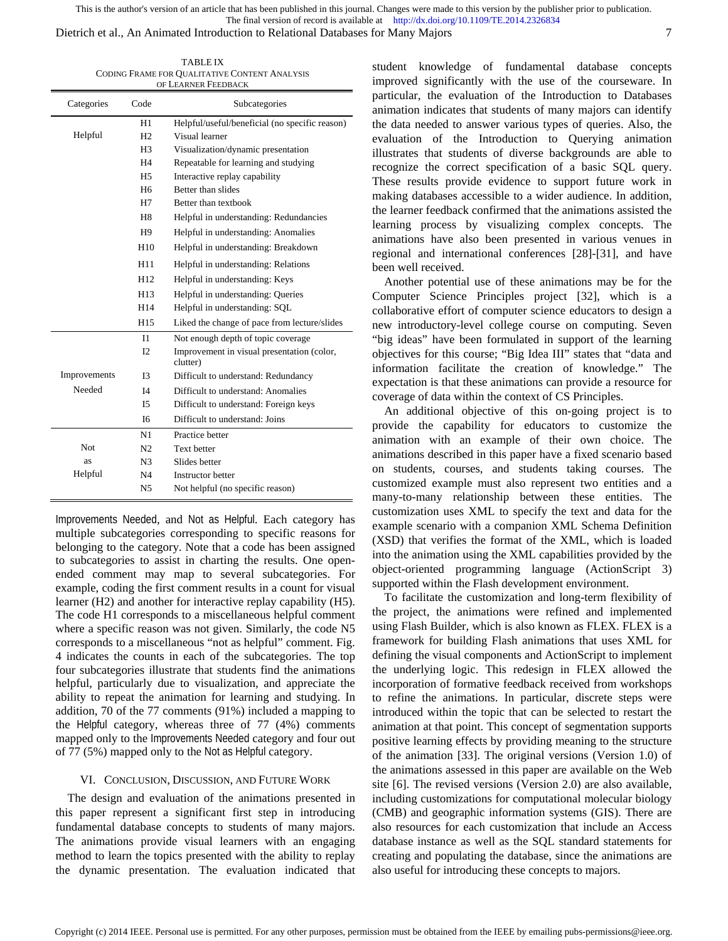Dietrich et al., An Animated Introduction to Relational Databases for Many Majors 7 The final version of record is available at http://dx.doi.org/10.1109/TE.2014.2326834

TABLE IX CODING FRAME FOR QUALITATIVE CONTENT ANALYSIS OF LEARNER FEEDBACK

| Categories   | Code            | Subcategories                                          |
|--------------|-----------------|--------------------------------------------------------|
|              | H1              | Helpful/useful/beneficial (no specific reason)         |
| Helpful      | H <sub>2</sub>  | Visual learner                                         |
|              | H3              | Visualization/dynamic presentation                     |
|              | H <sub>4</sub>  | Repeatable for learning and studying                   |
|              | H <sub>5</sub>  | Interactive replay capability                          |
|              | H <sub>6</sub>  | Better than slides                                     |
|              | H7              | Better than textbook                                   |
|              | H8              | Helpful in understanding: Redundancies                 |
|              | H <sub>9</sub>  | Helpful in understanding: Anomalies                    |
|              | H10             | Helpful in understanding: Breakdown                    |
|              | H11             | Helpful in understanding: Relations                    |
|              | H12             | Helpful in understanding: Keys                         |
|              | H13             | Helpful in understanding: Queries                      |
|              | H <sub>14</sub> | Helpful in understanding: SQL                          |
|              | H <sub>15</sub> | Liked the change of pace from lecture/slides           |
|              | $_{11}$         | Not enough depth of topic coverage                     |
|              | I2              | Improvement in visual presentation (color,<br>clutter) |
| Improvements | 13              | Difficult to understand: Redundancy                    |
| Needed       | 14              | Difficult to understand: Anomalies                     |
|              | 15              | Difficult to understand: Foreign keys                  |
|              | 16              | Difficult to understand: Joins                         |
|              | N1              | Practice better                                        |
| Not.         | N <sub>2</sub>  | Text better                                            |
| as           | N3              | Slides better                                          |
| Helpful      | N <sub>4</sub>  | Instructor better                                      |
|              | N5              | Not helpful (no specific reason)                       |

Improvements Needed, and Not as Helpful. Each category has multiple subcategories corresponding to specific reasons for belonging to the category. Note that a code has been assigned to subcategories to assist in charting the results. One openended comment may map to several subcategories. For example, coding the first comment results in a count for visual learner (H2) and another for interactive replay capability (H5). The code H1 corresponds to a miscellaneous helpful comment where a specific reason was not given. Similarly, the code N5 corresponds to a miscellaneous "not as helpful" comment. Fig. 4 indicates the counts in each of the subcategories. The top four subcategories illustrate that students find the animations helpful, particularly due to visualization, and appreciate the ability to repeat the animation for learning and studying. In addition, 70 of the 77 comments (91%) included a mapping to the Helpful category, whereas three of 77 (4%) comments mapped only to the Improvements Needed category and four out of 77 (5%) mapped only to the Not as Helpful category.

#### VI. CONCLUSION, DISCUSSION, AND FUTURE WORK

The design and evaluation of the animations presented in this paper represent a significant first step in introducing fundamental database concepts to students of many majors. The animations provide visual learners with an engaging method to learn the topics presented with the ability to replay the dynamic presentation. The evaluation indicated that student knowledge of fundamental database concepts improved significantly with the use of the courseware. In particular, the evaluation of the Introduction to Databases animation indicates that students of many majors can identify the data needed to answer various types of queries. Also, the evaluation of the Introduction to Querying animation illustrates that students of diverse backgrounds are able to recognize the correct specification of a basic SQL query. These results provide evidence to support future work in making databases accessible to a wider audience. In addition, the learner feedback confirmed that the animations assisted the learning process by visualizing complex concepts. The animations have also been presented in various venues in regional and international conferences [28]-[31], and have been well received.

Another potential use of these animations may be for the Computer Science Principles project [32], which is a collaborative effort of computer science educators to design a new introductory-level college course on computing. Seven "big ideas" have been formulated in support of the learning objectives for this course; "Big Idea III" states that "data and information facilitate the creation of knowledge." The expectation is that these animations can provide a resource for coverage of data within the context of CS Principles.

An additional objective of this on-going project is to provide the capability for educators to customize the animation with an example of their own choice. The animations described in this paper have a fixed scenario based on students, courses, and students taking courses. The customized example must also represent two entities and a many-to-many relationship between these entities. The customization uses XML to specify the text and data for the example scenario with a companion XML Schema Definition (XSD) that verifies the format of the XML, which is loaded into the animation using the XML capabilities provided by the object-oriented programming language (ActionScript 3) supported within the Flash development environment.

To facilitate the customization and long-term flexibility of the project, the animations were refined and implemented using Flash Builder, which is also known as FLEX. FLEX is a framework for building Flash animations that uses XML for defining the visual components and ActionScript to implement the underlying logic. This redesign in FLEX allowed the incorporation of formative feedback received from workshops to refine the animations. In particular, discrete steps were introduced within the topic that can be selected to restart the animation at that point. This concept of segmentation supports positive learning effects by providing meaning to the structure of the animation [33]. The original versions (Version 1.0) of the animations assessed in this paper are available on the Web site [6]. The revised versions (Version 2.0) are also available, including customizations for computational molecular biology (CMB) and geographic information systems (GIS). There are also resources for each customization that include an Access database instance as well as the SQL standard statements for creating and populating the database, since the animations are also useful for introducing these concepts to majors.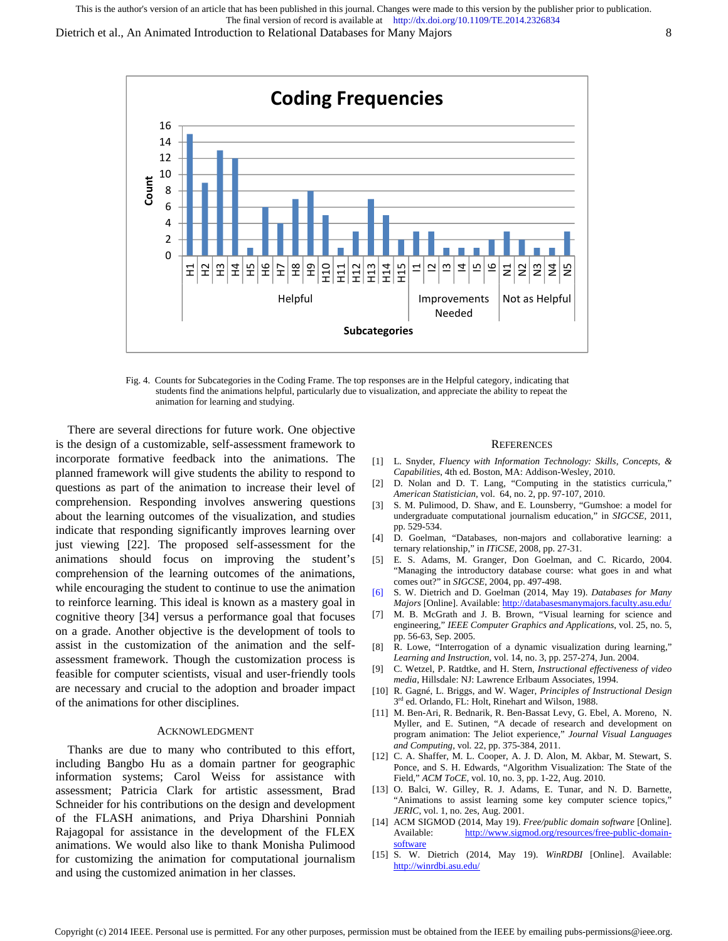Dietrich et al., An Animated Introduction to Relational Databases for Many Majors 8



Fig. 4. Counts for Subcategories in the Coding Frame. The top responses are in the Helpful category, indicating that students find the animations helpful, particularly due to visualization, and appreciate the ability to repeat the animation for learning and studying.

There are several directions for future work. One objective is the design of a customizable, self-assessment framework to incorporate formative feedback into the animations. The planned framework will give students the ability to respond to questions as part of the animation to increase their level of comprehension. Responding involves answering questions about the learning outcomes of the visualization, and studies indicate that responding significantly improves learning over just viewing [22]. The proposed self-assessment for the animations should focus on improving the student's comprehension of the learning outcomes of the animations, while encouraging the student to continue to use the animation to reinforce learning. This ideal is known as a mastery goal in cognitive theory [34] versus a performance goal that focuses on a grade. Another objective is the development of tools to assist in the customization of the animation and the selfassessment framework. Though the customization process is feasible for computer scientists, visual and user-friendly tools are necessary and crucial to the adoption and broader impact of the animations for other disciplines.

# ACKNOWLEDGMENT

Thanks are due to many who contributed to this effort, including Bangbo Hu as a domain partner for geographic information systems; Carol Weiss for assistance with assessment; Patricia Clark for artistic assessment, Brad Schneider for his contributions on the design and development of the FLASH animations, and Priya Dharshini Ponniah Rajagopal for assistance in the development of the FLEX animations. We would also like to thank Monisha Pulimood for customizing the animation for computational journalism and using the customized animation in her classes.

#### **REFERENCES**

- [1] L. Snyder, *Fluency with Information Technology: Skills, Concepts, & Capabilities*, 4th ed. Boston, MA: Addison-Wesley, 2010.
- [2] D. Nolan and D. T. Lang, "Computing in the statistics curricula," *American Statistician,* vol. 64, no. 2, pp. 97-107, 2010.
- [3] S. M. Pulimood, D. Shaw, and E. Lounsberry, "Gumshoe: a model for undergraduate computational journalism education," in *SIGCSE*, 2011, pp. 529-534.
- [4] D. Goelman, "Databases, non-majors and collaborative learning: a ternary relationship," in *ITiCSE*, 2008, pp. 27-31.
- [5] E. S. Adams, M. Granger, Don Goelman, and C. Ricardo, 2004. "Managing the introductory database course: what goes in and what comes out?" in *SIGCSE*, 2004, pp. 497-498.
- [6] S. W. Dietrich and D. Goelman (2014, May 19). *Databases for Many Majors* [Online]. Available: http://databasesmanymajors.faculty.asu.edu/
- [7] M. B. McGrath and J. B. Brown, "Visual learning for science and engineering," *IEEE Computer Graphics and Applications*, vol. 25, no. 5, pp. 56-63, Sep. 2005.
- [8] R. Lowe, "Interrogation of a dynamic visualization during learning," *Learning and Instruction*, vol. 14, no. 3, pp. 257-274, Jun. 2004.
- [9] C. Wetzel, P. Ratdtke, and H. Stern, *Instructional effectiveness of video media*, Hillsdale: NJ: Lawrence Erlbaum Associates, 1994.
- [10] R. Gagné, L. Briggs, and W. Wager, *Principles of Instructional Design*   $3<sup>rd</sup>$  ed. Orlando, FL: Holt, Rinehart and Wilson, 1988.
- [11] M. Ben-Ari, R. Bednarik, R. Ben-Bassat Levy, G. Ebel, A. Moreno, N. Myller, and E. Sutinen, "A decade of research and development on program animation: The Jeliot experience," *Journal Visual Languages and Computing,* vol*.* 22, pp. 375-384, 2011.
- [12] C. A. Shaffer, M. L. Cooper, A. J. D. Alon, M. Akbar, M. Stewart, S. Ponce, and S. H. Edwards, "Algorithm Visualization: The State of the Field," *ACM ToCE,* vol. 10, no. 3, pp. 1-22, Aug. 2010.
- [13] O. Balci, W. Gilley, R. J. Adams, E. Tunar, and N. D. Barnette, "Animations to assist learning some key computer science topics," *JERIC*, vol. 1, no. 2es, Aug. 2001.
- [14] ACM SIGMOD (2014, May 19). *Free/public domain software* [Online]. Available: http://www.sigmod.org/resources/free-public-domainsoftware
- [15] S. W. Dietrich (2014, May 19). *WinRDBI* [Online]. Available: http://winrdbi.asu.edu/